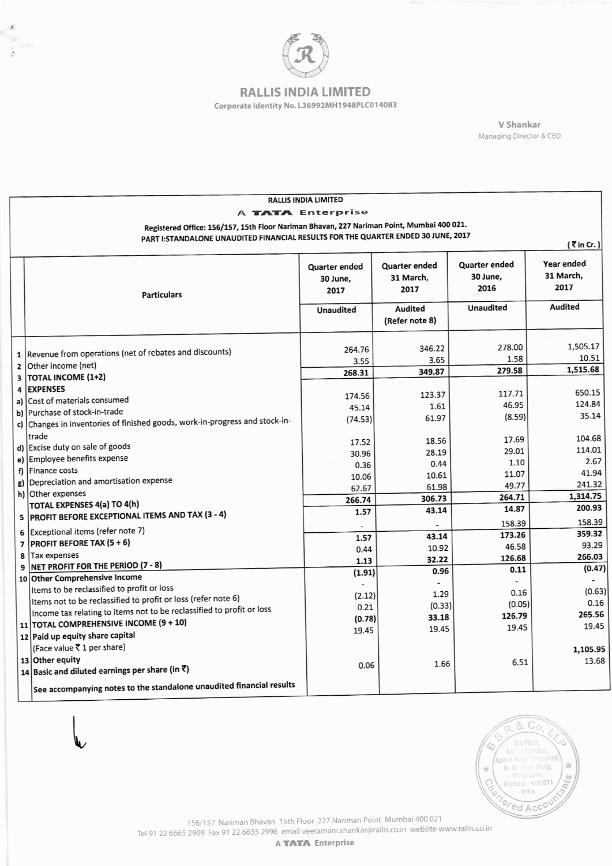

t. X.

## **RALLIS INDIA LIMITED** Corporate Identity No. L36992MH1948PLC014083

V Shankar Managing Director & CEO

| <b>RALLIS INDIA LIMITED</b>                                                       |                                                                                           |                                          |                                    |                                   |                                 |  |
|-----------------------------------------------------------------------------------|-------------------------------------------------------------------------------------------|------------------------------------------|------------------------------------|-----------------------------------|---------------------------------|--|
| A TATA Enterprise                                                                 |                                                                                           |                                          |                                    |                                   |                                 |  |
|                                                                                   | Registered Office: 156/157, 15th Floor Nariman Bhavan, 227 Nariman Point, Mumbai 400 021. |                                          |                                    |                                   |                                 |  |
| PART I:STANDALONE UNAUDITED FINANCIAL RESULTS FOR THE QUARTER ENDED 30 JUNE, 2017 |                                                                                           |                                          |                                    |                                   |                                 |  |
| $\bar{\tau}$ in Cr.)                                                              |                                                                                           |                                          |                                    |                                   |                                 |  |
|                                                                                   | <b>Particulars</b>                                                                        | <b>Quarter ended</b><br>30 June,<br>2017 | Quarter ended<br>31 March,<br>2017 | Quarter ended<br>30 June,<br>2016 | Year ended<br>31 March,<br>2017 |  |
|                                                                                   |                                                                                           | <b>Unaudited</b>                         | <b>Audited</b>                     | <b>Unaudited</b>                  | Audited                         |  |
|                                                                                   |                                                                                           |                                          | (Refer note 8)                     |                                   |                                 |  |
|                                                                                   |                                                                                           |                                          |                                    |                                   |                                 |  |
|                                                                                   |                                                                                           |                                          |                                    | 278.00                            | 1,505.17                        |  |
|                                                                                   | 1   Revenue from operations (net of rebates and discounts)                                | 264.76                                   | 346.22                             | 1.58                              | 10.51                           |  |
|                                                                                   | 2 Other income (net)                                                                      | 3.55                                     | 3.65                               |                                   | 1,515.68                        |  |
| 3                                                                                 | <b>TOTAL INCOME (1+2)</b>                                                                 | 268.31                                   | 349.87                             | 279.58                            |                                 |  |
| 4                                                                                 | <b>EXPENSES</b>                                                                           |                                          |                                    | 117.71                            | 650.15                          |  |
|                                                                                   | a) Cost of materials consumed                                                             | 174.56                                   | 123.37                             | 46.95                             | 124.84                          |  |
|                                                                                   | b) Purchase of stock-in-trade                                                             | 45.14                                    | 1.61                               |                                   | 35.14                           |  |
|                                                                                   | c) Changes in inventories of finished goods, work-in-progress and stock-in-               | (74.53)                                  | 61.97                              | (8.59)                            |                                 |  |
|                                                                                   | trade                                                                                     |                                          | 18.56                              | 17.69                             | 104.68                          |  |
|                                                                                   | d) Excise duty on sale of goods                                                           | 17.52                                    | 28.19                              | 29.01                             | 114.01                          |  |
|                                                                                   | e) Employee benefits expense                                                              | 30.96                                    |                                    | 1.10                              | 2.67                            |  |
|                                                                                   | f) Finance costs                                                                          | 0.36                                     | 0.44                               | 11.07                             | 41.94                           |  |
|                                                                                   | g) Depreciation and amortisation expense                                                  | 10.06                                    | 10.61<br>61.98                     | 49.77                             | 241.32                          |  |
|                                                                                   | h) Other expenses                                                                         | 62.67                                    | 306.73                             | 264.71                            | 1,314.75                        |  |
|                                                                                   | TOTAL EXPENSES 4(a) TO 4(h)                                                               | 266.74                                   | 43.14                              | 14.87                             | 200.93                          |  |
|                                                                                   | 5 PROFIT BEFORE EXCEPTIONAL ITEMS AND TAX (3 - 4)                                         | 1.57                                     |                                    |                                   | 158.39                          |  |
|                                                                                   | Exceptional items (refer note 7)<br>6                                                     |                                          |                                    | 158.39                            | 359.32                          |  |
|                                                                                   | <b>PROFIT BEFORE TAX (5+6)</b><br>$\overline{ }$                                          | 1.57                                     | 43.14                              | 173.26                            | 93.29                           |  |
|                                                                                   | Tax expenses<br>8                                                                         | 0.44                                     | 10.92                              | 46.58                             | 266.03                          |  |
|                                                                                   | NET PROFIT FOR THE PERIOD (7 - 8)<br>9                                                    | 1.13                                     | 32.22                              | 126.68                            | (0.47)                          |  |
|                                                                                   | 10 Other Comprehensive Income                                                             | (1.91)                                   | 0.96                               | 0.11                              |                                 |  |
|                                                                                   | Items to be reclassified to profit or loss                                                | L,                                       | $\overline{\phantom{0}}$           | 0.16                              | (0.63)                          |  |
|                                                                                   | Items not to be reclassified to profit or loss (refer note 6)                             | (2.12)                                   | 1.29                               | (0.05)                            | 0.16                            |  |
|                                                                                   | Income tax relating to items not to be reclassified to profit or loss                     | 0.21                                     | (0.33)                             | 126.79                            | 265.56                          |  |
|                                                                                   | 11 TOTAL COMPREHENSIVE INCOME (9 + 10)                                                    | (0.78)                                   | 33.18                              | 19.45                             | 19.45                           |  |
|                                                                                   | 12 Paid up equity share capital                                                           | 19.45                                    | 19.45                              |                                   |                                 |  |
|                                                                                   | (Face value ₹1 per share)                                                                 |                                          |                                    |                                   | 1.105.95                        |  |
|                                                                                   | 13 Other equity                                                                           |                                          |                                    | 6.51                              | 13.68                           |  |
|                                                                                   | 14 Basic and diluted earnings per share (in ₹)                                            | 0.06                                     | 1.66                               |                                   |                                 |  |
|                                                                                   | See accompanying notes to the standalone unaudited financial results                      |                                          |                                    |                                   |                                 |  |



156/157 Nariman Bhavan 15th Floor 227 Nariman Point Mumbai 400 021<br>Tel 91 22 6665 2909 Fax 91 22 6635 2996 email veeramani.shankar@rallis.co.in website www.rallis.co.in